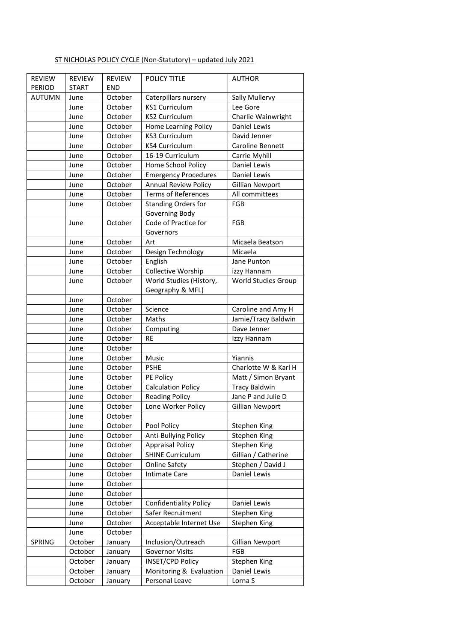## ST NICHOLAS POLICY CYCLE (Non-Statutory) – updated July 2021

| <b>REVIEW</b> | <b>REVIEW</b> | <b>REVIEW</b>      | POLICY TITLE                      | <b>AUTHOR</b>                             |
|---------------|---------------|--------------------|-----------------------------------|-------------------------------------------|
| <b>PERIOD</b> | <b>START</b>  | <b>END</b>         |                                   |                                           |
| <b>AUTUMN</b> | June          | October            | Caterpillars nursery              | Sally Mullervy                            |
|               | June          | October            | <b>KS1 Curriculum</b>             | Lee Gore                                  |
|               | June          | October            | <b>KS2 Curriculum</b>             | Charlie Wainwright                        |
|               | June          | October            | Home Learning Policy              | Daniel Lewis                              |
|               | June          | October            | <b>KS3 Curriculum</b>             | David Jenner                              |
|               | June          | October            | <b>KS4 Curriculum</b>             | Caroline Bennett                          |
|               | June          | October            | 16-19 Curriculum                  | Carrie Myhill                             |
|               | June          | October            | Home School Policy                | Daniel Lewis                              |
|               | June          | October            | <b>Emergency Procedures</b>       | Daniel Lewis                              |
|               | June          | October            | <b>Annual Review Policy</b>       | <b>Gillian Newport</b>                    |
|               | June          | October            | <b>Terms of References</b>        | All committees                            |
|               | June          | October            | <b>Standing Orders for</b>        | FGB                                       |
|               |               |                    | Governing Body                    |                                           |
|               | June          | October            | Code of Practice for<br>Governors | FGB                                       |
|               | June          | October            | Art                               | Micaela Beatson                           |
|               | June          | October            | Design Technology                 | Micaela                                   |
|               | June          | October            | English                           | Jane Punton                               |
|               | June          | October            | Collective Worship                | izzy Hannam                               |
|               | June          | October            | World Studies (History,           | World Studies Group                       |
|               |               |                    | Geography & MFL)                  |                                           |
|               | June<br>June  | October<br>October | Science                           |                                           |
|               |               |                    | Maths                             | Caroline and Amy H<br>Jamie/Tracy Baldwin |
|               | June          | October            |                                   | Dave Jenner                               |
|               | June          | October            | Computing<br><b>RE</b>            |                                           |
|               | June          | October            |                                   | Izzy Hannam                               |
|               | June          | October            |                                   | Yiannis                                   |
|               | June          | October<br>October | Music<br><b>PSHE</b>              | Charlotte W & Karl H                      |
|               | June          | October            |                                   |                                           |
|               | June          |                    | PE Policy                         | Matt / Simon Bryant                       |
|               | June          | October            | <b>Calculation Policy</b>         | <b>Tracy Baldwin</b>                      |
|               | June          | October            | <b>Reading Policy</b>             | Jane P and Julie D                        |
|               | June<br>June  | October<br>October | Lone Worker Policy                | <b>Gillian Newport</b>                    |
|               |               |                    |                                   |                                           |
|               | June          | October            | Pool Policy                       | Stephen King                              |
|               | June          | October            | Anti-Bullying Policy              | Stephen King                              |
|               | June          | October            | <b>Appraisal Policy</b>           | Stephen King                              |
|               | June          | October            | <b>SHINE Curriculum</b>           | Gillian / Catherine                       |
|               | June          | October            | <b>Online Safety</b>              | Stephen / David J                         |
|               | June          | October            | <b>Intimate Care</b>              | Daniel Lewis                              |
|               | June          | October            |                                   |                                           |
|               | June          | October            |                                   |                                           |
|               | June          | October            | <b>Confidentiality Policy</b>     | Daniel Lewis                              |
|               | June          | October            | Safer Recruitment                 | Stephen King                              |
|               | June          | October            | Acceptable Internet Use           | Stephen King                              |
|               | June          | October            |                                   |                                           |
| SPRING        | October       | January            | Inclusion/Outreach                | <b>Gillian Newport</b>                    |
|               | October       | January            | <b>Governor Visits</b>            | FGB                                       |
|               | October       | January            | <b>INSET/CPD Policy</b>           | Stephen King                              |
|               | October       | January            | Monitoring & Evaluation           | Daniel Lewis                              |
|               | October       | January            | Personal Leave                    | Lorna S                                   |